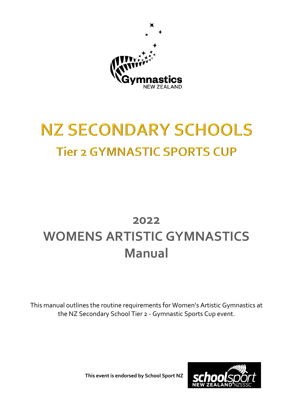

# **NZ SECONDARY SCHOOLS Tier 2 GYMNASTIC SPORTS CUP**

# **2022 WOMENS ARTISTIC GYMNASTICS Manual**

This manual outlines the routine requirements for Women's Artistic Gymnastics at the NZ Secondary School Tier 2 - Gymnastic Sports Cup event.

**This event is endorsed by School Sport NZ**

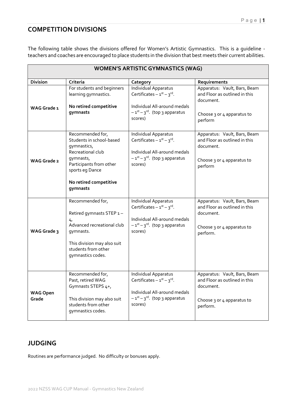#### **COMPETITION DIVISIONS**

The following table shows the divisions offered for Women's Artistic Gymnastics. This is a guideline teachers and coaches are encouraged to place students in the division that best meets their current abilities.

|                          | <b>WOMEN'S ARTISTIC GYMNASTICS (WAG)</b>                                                                                                                                          |                                                                                                                                                                 |                                                                                                                      |  |  |  |  |  |
|--------------------------|-----------------------------------------------------------------------------------------------------------------------------------------------------------------------------------|-----------------------------------------------------------------------------------------------------------------------------------------------------------------|----------------------------------------------------------------------------------------------------------------------|--|--|--|--|--|
| <b>Division</b>          | Criteria                                                                                                                                                                          | Category                                                                                                                                                        | Requirements                                                                                                         |  |  |  |  |  |
| WAG Grade 1              | For students and beginners<br>learning gymnastics.<br>No retired competitive<br>gymnasts                                                                                          | Individual Apparatus<br>Certificates $-1^{st} - 3^{rd}$ .<br>Individual All-around medals<br>$-1st - 3rd$ . (top 3 apparatus<br>scores)                         | Apparatus: Vault, Bars, Beam<br>and Floor as outlined in this<br>document.<br>Choose 3 or 4 apparatus to<br>perform  |  |  |  |  |  |
| <b>WAG Grade 2</b>       | Recommended for,<br>Students in school-based<br>gymnastics,<br>Recreational club<br>gymnasts,<br>Participants from other<br>sports eg Dance<br>No retired competitive<br>gymnasts | Individual Apparatus<br>Certificates $-1^{st} - 3^{rd}$ .<br>Individual All-around medals<br>$-1^{st} - 3^{rd}$ . (top 3 apparatus<br>scores)                   | Apparatus: Vault, Bars, Beam<br>and Floor as outlined in this<br>document.<br>Choose 3 or 4 apparatus to<br>perform  |  |  |  |  |  |
| WAG Grade 3              | Recommended for,<br>Retired gymnasts STEP 1-<br>4,<br>Advanced recreational club<br>gymnasts.<br>This division may also suit<br>students from other<br>gymnastics codes.          | Individual Apparatus<br>Certificates $-1^{st} - 3^{rd}$ .<br>Individual All-around medals<br>$-1$ <sup>st</sup> – 3 <sup>rd</sup> . (top 3 apparatus<br>scores) | Apparatus: Vault, Bars, Beam<br>and Floor as outlined in this<br>document.<br>Choose 3 or 4 apparatus to<br>perform. |  |  |  |  |  |
| <b>WAG Open</b><br>Grade | Recommended for,<br>Past, retired WAG<br>Gymnasts STEPS 4+,<br>This division may also suit<br>students from other<br>gymnastics codes.                                            | Individual Apparatus<br>Certificates $-1^{st} - 3^{rd}$ .<br>Individual All-around medals<br>$-1^{st}-3^{rd}$ . (top 3 apparatus<br>scores)                     | Apparatus: Vault, Bars, Beam<br>and Floor as outlined in this<br>document.<br>Choose 3 or 4 apparatus to<br>perform. |  |  |  |  |  |

#### **JUDGING**

Routines are performance judged. No difficulty or bonuses apply.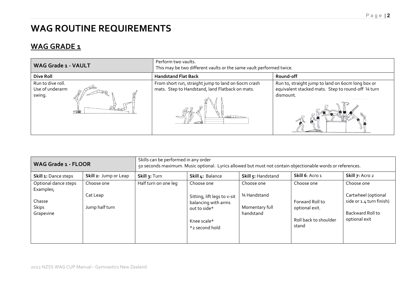# **WAG ROUTINE REQUIREMENTS**

### **WAG GRADE 1**

| <b>WAG Grade 1 - VAULT</b>                                                 | Perform two vaults.<br>This may be two different vaults or the same vault performed twice.                    |                                                                                                                      |  |  |  |
|----------------------------------------------------------------------------|---------------------------------------------------------------------------------------------------------------|----------------------------------------------------------------------------------------------------------------------|--|--|--|
| <b>Dive Roll</b>                                                           | <b>Handstand Flat Back</b>                                                                                    | Round-off                                                                                                            |  |  |  |
| Run to dive roll.<br>Use of underarm<br>swing.<br>$\overline{\phantom{a}}$ | From short run, straight jump to land on 60cm crash<br>mats. Step to Handstand, land Flatback on mats.<br>457 | Run to, straight jump to land on 6ocm long box or<br>equivalent stacked mats. Step to round-off 14 turn<br>dismount. |  |  |  |

| <b>WAG Grade 1 - FLOOR</b>          |                            | Skills can be performed in any order<br>50 seconds maximum. Music optional. Lyrics allowed but must not contain objectionable words or references. |                                                                                                     |                                              |                                                                     |                                                                                      |  |
|-------------------------------------|----------------------------|----------------------------------------------------------------------------------------------------------------------------------------------------|-----------------------------------------------------------------------------------------------------|----------------------------------------------|---------------------------------------------------------------------|--------------------------------------------------------------------------------------|--|
| Skill 1: Dance steps                | Skill 2: Jump or Leap      | Skill 3: Turn                                                                                                                                      | Skill 4: Balance                                                                                    | Skill 5: Handstand                           | Skill 6: Acro 1                                                     | Skill 7: Acro 2                                                                      |  |
| Optional dance steps<br>Examples;   | Choose one                 | Half turn on one leg                                                                                                                               | Choose one                                                                                          | Choose one                                   | Choose one                                                          | Choose one                                                                           |  |
| Chasse<br><b>Skips</b><br>Grapevine | Cat Leap<br>Jump half turn |                                                                                                                                                    | Sitting, lift legs to v-sit<br>balancing with arms<br>out to side*<br>Knee scale*<br>*2 second hold | 3⁄4 Handstand<br>Momentary full<br>handstand | Forward Roll to<br>optional exit.<br>Roll back to shoulder<br>stand | Cartwheel (optional<br>side or 1.4 turn finish)<br>Backward Roll to<br>optional exit |  |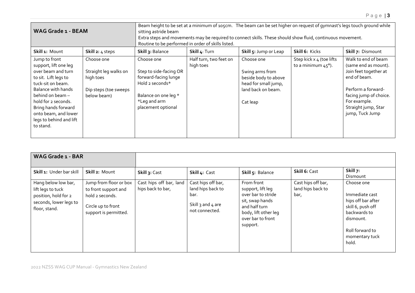| <b>WAG Grade 1 - BEAM</b>                                                                                                                                                                                                                                         |                                                                                          | Beam height to be set at a minimum of 105cm. The beam can be set higher on request of gymnast's legs touch ground while<br>sitting astride beam<br>Extra steps and movements may be required to connect skills. These should show fluid, continuous movement.<br>Routine to be performed in order of skills listed. |                                     |                                                                                                                 |                                                          |                                                                                                                                                                                                |
|-------------------------------------------------------------------------------------------------------------------------------------------------------------------------------------------------------------------------------------------------------------------|------------------------------------------------------------------------------------------|---------------------------------------------------------------------------------------------------------------------------------------------------------------------------------------------------------------------------------------------------------------------------------------------------------------------|-------------------------------------|-----------------------------------------------------------------------------------------------------------------|----------------------------------------------------------|------------------------------------------------------------------------------------------------------------------------------------------------------------------------------------------------|
| Skill 1: Mount                                                                                                                                                                                                                                                    | Skill 2: 4 steps                                                                         | Skill 3: Balance                                                                                                                                                                                                                                                                                                    | Skill 4: Turn                       | Skill 5: Jump or Leap                                                                                           | Skill 6: Kicks                                           | Skill 7: Dismount                                                                                                                                                                              |
| Jump to front<br>support, lift one leg<br>over beam and turn<br>to sit. Lift legs to<br>tuck-sit on beam.<br>Balance with hands<br>behind on beam -<br>hold for 2 seconds.<br>Bring hands forward<br>onto beam, and lower<br>legs to behind and lift<br>to stand. | Choose one<br>Straight leg walks on<br>high toes<br>Dip steps (toe sweeps<br>below beam) | Choose one<br>Step to side-facing OR<br>forward-facing lunge<br>Hold 2 seconds*<br>Balance on one leg *<br>*Leg and arm<br>placement optional                                                                                                                                                                       | Half turn, two feet on<br>high toes | Choose one<br>Swing arms from<br>beside body to above<br>head for small jump,<br>land back on beam.<br>Cat leap | Step kick x 4 (toe lifts<br>to a minimum $45^{\circ}$ ). | Walk to end of beam<br>(same end as mount).<br>Join feet together at<br>end of beam.<br>Perform a forward-<br>facing jump of choice.<br>For example.<br>Straight jump, Star<br>jump, Tuck Jump |

| WAG Grade 1 - BAR                                                                                           |                                                                                                                  |                                              |                                                                                            |                                                                                                                                                    |                                                 |                                                                                                                                                    |
|-------------------------------------------------------------------------------------------------------------|------------------------------------------------------------------------------------------------------------------|----------------------------------------------|--------------------------------------------------------------------------------------------|----------------------------------------------------------------------------------------------------------------------------------------------------|-------------------------------------------------|----------------------------------------------------------------------------------------------------------------------------------------------------|
| Skill 1: Under bar skill                                                                                    | Skill 2: Mount                                                                                                   | Skill 3: Cast                                | Skill 4: Cast                                                                              | Skill 5: Balance                                                                                                                                   | Skill 6: Cast                                   | Skill 7:<br>Dismount                                                                                                                               |
| Hang below low bar,<br>lift legs to tuck<br>position, hold for 2<br>seconds, lower legs to<br>floor, stand. | Jump from floor or box<br>to front support and<br>hold 2 seconds.<br>Circle up to front<br>support is permitted. | Cast hips off bar, land<br>hips back to bar, | Cast hips off bar,<br>land hips back to<br>bar.<br>Skill $3$ and $4$ are<br>not connected. | From front<br>support, lift leg<br>over bar to stride<br>sit, swap hands<br>and half turn<br>body, lift other leg<br>over bar to front<br>support. | Cast hips off bar,<br>land hips back to<br>bar, | Choose one<br>Immediate cast<br>hips off bar after<br>skill 6, push off<br>backwards to<br>dismount.<br>Roll forward to<br>momentary tuck<br>hold. |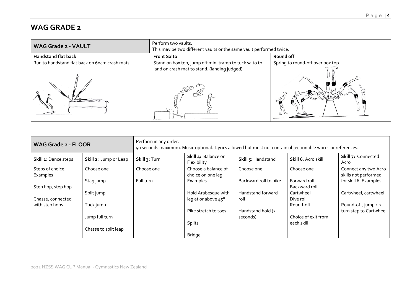### **WAG GRADE 2**

| <b>WAG Grade 2 - VAULT</b>                    | Perform two vaults.<br>This may be two different vaults or the same vault performed twice.             |                                  |  |  |  |  |
|-----------------------------------------------|--------------------------------------------------------------------------------------------------------|----------------------------------|--|--|--|--|
| <b>Handstand flat back</b>                    | <b>Front Salto</b>                                                                                     | Round off                        |  |  |  |  |
| Run to handstand flat back on 60cm crash mats | Stand on box top, jump off mini tramp to tuck salto to<br>land on crash mat to stand. (landing judged) | Spring to round-off over box top |  |  |  |  |
|                                               |                                                                                                        |                                  |  |  |  |  |

| <b>WAG Grade 2 - FLOOR</b>   |                       | Perform in any order.<br>50 seconds maximum. Music optional. Lyrics allowed but must not contain objectionable words or references. |                                            |                               |                               |                                               |
|------------------------------|-----------------------|-------------------------------------------------------------------------------------------------------------------------------------|--------------------------------------------|-------------------------------|-------------------------------|-----------------------------------------------|
| Skill 1: Dance steps         | Skill 2: Jump or Leap | Skill 3: Turn                                                                                                                       | Skill 4: Balance or<br>Flexibility         | Skill 5: Handstand            | Skill 6: Acro skill           | Skill 7: Connected<br>Acro                    |
| Steps of choice.<br>Examples | Choose one            | Choose one                                                                                                                          | Choose a balance of<br>choice on one leg.  | Choose one                    | Choose one                    | Connect any two Acro<br>skills not performed  |
| Step hop, step hop           | Stag jump             | Full turn                                                                                                                           | Examples                                   | Backward roll to pike         | Forward roll<br>Backward roll | for skill 6. Examples                         |
| Chasse, connected            | Split jump            |                                                                                                                                     | Hold Arabesque with<br>leg at or above 45° | Handstand forward<br>roll     | Cartwheel<br>Dive roll        | Cartwheel, cartwheel                          |
| with step hops.              | Tuck jump             |                                                                                                                                     | Pike stretch to toes                       |                               | Round-off                     | Round-off, jump 1.2<br>turn step to Cartwheel |
|                              | Jump full turn        |                                                                                                                                     |                                            | Handstand hold (2<br>seconds) | Choice of exit from           |                                               |
|                              | Chasse to split leap  |                                                                                                                                     | Splits                                     |                               | each skill                    |                                               |
|                              |                       |                                                                                                                                     | Bridge                                     |                               |                               |                                               |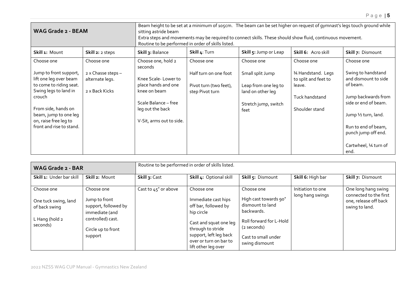| <b>WAG Grade 2 - BEAM</b>                         |                                       | Beam height to be set at a minimum of 105cm. The beam can be set higher on request of gymnast's legs touch ground while<br>sitting astride beam<br>Extra steps and movements may be required to connect skills. These should show fluid, continuous movement.<br>Routine to be performed in order of skills listed. |                                           |                                           |                                            |                                             |  |
|---------------------------------------------------|---------------------------------------|---------------------------------------------------------------------------------------------------------------------------------------------------------------------------------------------------------------------------------------------------------------------------------------------------------------------|-------------------------------------------|-------------------------------------------|--------------------------------------------|---------------------------------------------|--|
| Skill 1: Mount                                    | Skill 2: 2 steps                      | Skill 3: Balance                                                                                                                                                                                                                                                                                                    | Skill 4: Turn                             | Skill 5: Jump or Leap                     | Skill 6: Acro skill                        | Skill 7: Dismount                           |  |
| Choose one                                        | Choose one                            | Choose one, hold 2<br>seconds                                                                                                                                                                                                                                                                                       | Choose one                                | Choose one                                | Choose one                                 | Choose one                                  |  |
| Jump to front support,<br>lift one leg over beam  | 2 x Chasse steps -<br>alternate legs. | Knee Scale-Lower to                                                                                                                                                                                                                                                                                                 | Half turn on one foot                     | Small split Jump                          | 34 Handstand. Legs<br>to split and feet to | Swing to handstand<br>and dismount to side  |  |
| to come to riding seat.<br>Swing legs to land in  | 2 x Back Kicks                        | place hands and one<br>knee on beam                                                                                                                                                                                                                                                                                 | Pivot turn (two feet),<br>step Pivot turn | Leap from one leg to<br>land on other leq | leave.                                     | of beam.                                    |  |
| crouch                                            |                                       | Scale Balance - free                                                                                                                                                                                                                                                                                                |                                           | Stretch jump, switch                      | Tuck handstand                             | Jump backwards from<br>side or end of beam. |  |
| From side, hands on<br>beam, jump to one leg      |                                       | leg out the back                                                                                                                                                                                                                                                                                                    |                                           | feet                                      | Shoulder stand                             | Jump 1/2 turn, land.                        |  |
| on, raise free leg to<br>front and rise to stand. |                                       | V-Sit, arms out to side.                                                                                                                                                                                                                                                                                            |                                           |                                           |                                            | Run to end of beam,<br>punch jump off end.  |  |
|                                                   |                                       |                                                                                                                                                                                                                                                                                                                     |                                           |                                           |                                            | Cartwheel, 1⁄4 turn of                      |  |

| <b>WAG Grade 2 - BAR</b>                                                          |                                                                                                                             | Routine to be performed in order of skills listed. |                                                                                                                                                                                                   |                                                                                                                                                          |                                       |                                                                                          |
|-----------------------------------------------------------------------------------|-----------------------------------------------------------------------------------------------------------------------------|----------------------------------------------------|---------------------------------------------------------------------------------------------------------------------------------------------------------------------------------------------------|----------------------------------------------------------------------------------------------------------------------------------------------------------|---------------------------------------|------------------------------------------------------------------------------------------|
| Skill 1: Under bar skill                                                          | Skill 2: Mount                                                                                                              | Skill 3: Cast                                      | Skill 4: Optional skill                                                                                                                                                                           | Skill 5: Dismount                                                                                                                                        | Skill 6: High bar                     | Skill 7: Dismount                                                                        |
| Choose one<br>One tuck swing, land<br>of back swing<br>L Hang (hold 2<br>seconds) | Choose one<br>Jump to front<br>support, followed by<br>immediate (and<br>controlled) cast.<br>Circle up to front<br>support | Cast to 45° or above                               | Choose one<br>Immediate cast hips<br>off bar, followed by<br>hip circle<br>Cast and squat one leg<br>through to stride<br>support, left leg back<br>over or turn on bar to<br>lift other leg over | Choose one<br>High cast towards 90°<br>dismount to land<br>backwards.<br>Roll forward for L-Hold<br>(2 seconds)<br>Cast to small under<br>swing dismount | Initiation to one<br>long hang swings | One long hang swing<br>connected to the first<br>one, release off back<br>swing to land. |

end.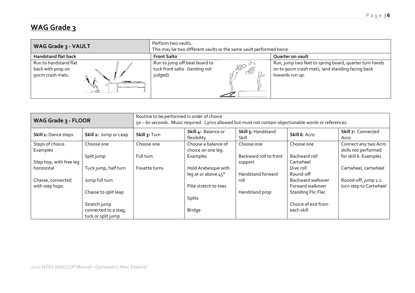# **WAG Grade 3**

| WAG Grade 3 - VAULT                                            | Perform two vaults.<br>This may be two different vaults or the same vault performed twice. |                                                                                                                               |  |  |
|----------------------------------------------------------------|--------------------------------------------------------------------------------------------|-------------------------------------------------------------------------------------------------------------------------------|--|--|
| <b>Handstand flat back</b>                                     | <b>Front Salto</b>                                                                         | Quarter on vault                                                                                                              |  |  |
| Run to handstand flat<br>back with prop on<br>90cm crash mats. | Run to jump off beat board to<br>LSO<br>tuck front salto (landing not<br>mB<br>judged)     | Run, jump two feet to spring board, quarter turn hands<br>on to 90cm crash mats, land standing facing back<br>towards run up. |  |  |

| WAG Grade 3 - FLOOR                  |                                            | Routine to be performed in order of choice<br>50 - 60 seconds. Music required. Lyrics allowed but must not contain objectionable words or references. |                                            |                                   |                                       |                                               |  |
|--------------------------------------|--------------------------------------------|-------------------------------------------------------------------------------------------------------------------------------------------------------|--------------------------------------------|-----------------------------------|---------------------------------------|-----------------------------------------------|--|
| Skill 1: Dance steps                 | Skill 2: Jump or Leap                      | Skill 3: Turn                                                                                                                                         | Skill 4: Balance or<br>flexibility         | Skill 5: Handstand<br>Skill       | Skill 6: Acro                         | Skill 7: Connected<br>Acro                    |  |
| Steps of choice.<br>Examples         | Choose one                                 | Choose one                                                                                                                                            | Choose a balance of<br>choice on one leg.  | Choose one                        | Choose one                            | Connect any two Acro<br>skills not performed  |  |
| Step hop, with free leg              | Split jump                                 | Full turn                                                                                                                                             | Examples                                   | Backward roll to front<br>support | Backward roll<br>Cartwheel            | for skill 6. Examples                         |  |
| horizontal                           | Tuck jump, half turn                       | Fouette turns                                                                                                                                         | Hold Arabesque with<br>leg at or above 45° | Handstand forward                 | Dive roll<br>Round-off                | Cartwheel, cartwheel                          |  |
| Chasse, connected<br>with step hops. | Jump full turn                             |                                                                                                                                                       | Pike stretch to toes                       | roll                              | Backward walkover<br>Forward walkover | Round-off, jump 1.2<br>turn step to Cartwheel |  |
|                                      | Chasse to split leap                       |                                                                                                                                                       |                                            | Handstand prop                    | <b>Standing Flic Flac</b>             |                                               |  |
|                                      | Stretch jump                               |                                                                                                                                                       | <b>Splits</b>                              |                                   | Choice of exit from                   |                                               |  |
|                                      | connected to a stag,<br>tuck or split jump |                                                                                                                                                       | <b>Bridge</b>                              |                                   | each skill                            |                                               |  |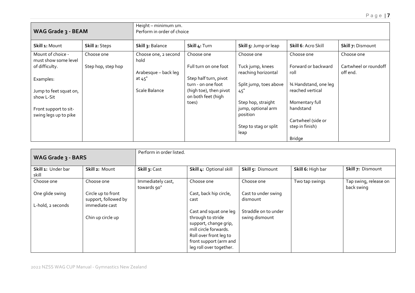| WAG Grade 3 - BEAM                        |                    | Height - minimum 1m.<br>Perform in order of choice |                                              |                                          |                             |                                   |  |
|-------------------------------------------|--------------------|----------------------------------------------------|----------------------------------------------|------------------------------------------|-----------------------------|-----------------------------------|--|
| Skill 1: Mount                            | Skill 2: Steps     | Skill 3: Balance                                   | Skill 4: Turn                                | Skill 5: Jump or leap                    | <b>Skill 6: Acro Skill</b>  | Skill 7: Dismount                 |  |
| Mount of choice -<br>must show some level | Choose one         | Choose one, 2 second<br>hold                       | Choose one                                   | Choose one                               | Choose one                  | Choose one                        |  |
| of difficulty.                            | Step hop, step hop | Arabesque - back leg                               | Full turn on one foot                        | Tuck jump, knees<br>reaching horizontal  | Forward or backward<br>roll | Cartwheel or roundoff<br>off end. |  |
| Examples:                                 |                    | at $45^\circ$                                      | Step half turn, pivot<br>turn - on one foot  | Split jump, toes above                   | 34 Handstand, one leg       |                                   |  |
| Jump to feet squat on,<br>show L-Sit      |                    | Scale Balance                                      | (high toe), then pivot<br>on both feet (high | 45 <sup>′</sup>                          | reached vertical            |                                   |  |
| Front support to sit-                     |                    |                                                    | toes)                                        | Step hop, straight<br>jump, optional arm | Momentary full<br>handstand |                                   |  |
| swing legs up to pike                     |                    |                                                    |                                              | position                                 | Cartwheel (side or          |                                   |  |
|                                           |                    |                                                    |                                              | Step to stag or split<br>leap            | step in finish)             |                                   |  |
|                                           |                    |                                                    |                                              |                                          | <b>Bridge</b>               |                                   |  |

| WAG Grade 3 - BARS                   |                                                              | Perform in order listed.         |                                                                                                                                                                              |                                        |                   |                                     |  |
|--------------------------------------|--------------------------------------------------------------|----------------------------------|------------------------------------------------------------------------------------------------------------------------------------------------------------------------------|----------------------------------------|-------------------|-------------------------------------|--|
| Skill 1: Under bar<br>skill          | Skill 2: Mount                                               | Skill 3: Cast                    | Skill 4: Optional skill                                                                                                                                                      | Skill 5: Dismount                      | Skill 6: High bar | Skill 7: Dismount                   |  |
| Choose one                           | Choose one                                                   | Immediately cast,<br>towards 90° | Choose one                                                                                                                                                                   | Choose one                             | Two tap swings    | Tap swing, release on<br>back swing |  |
| One glide swing<br>L-hold, 2 seconds | Circle up to front<br>support, followed by<br>immediate cast |                                  | Cast, back hip circle,<br>cast                                                                                                                                               | Cast to under swing<br>dismount        |                   |                                     |  |
|                                      | Chin up circle up                                            |                                  | Cast and squat one leg<br>through to stride<br>support, change grip,<br>mill circle forwards.<br>Roll over front leg to<br>front support (arm and<br>leg roll over together. | Straddle on to under<br>swing dismount |                   |                                     |  |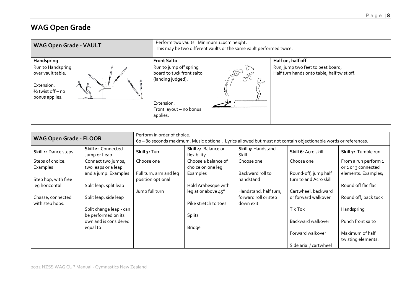# **WAG Open Grade**

| <b>WAG Open Grade - VAULT</b>                                                                  | Perform two vaults. Minimum 110cm height.<br>This may be two different vaults or the same vault performed twice.                                |                                                                                  |  |  |  |
|------------------------------------------------------------------------------------------------|-------------------------------------------------------------------------------------------------------------------------------------------------|----------------------------------------------------------------------------------|--|--|--|
| Handspring                                                                                     | <b>Front Salto</b>                                                                                                                              | Half on, half off                                                                |  |  |  |
| Run to Handspring<br>over vault table.<br>Extension:<br>$1/2$ twist off – no<br>bonus applies. | Run to jump off spring<br>$-50$<br>board to tuck front salto<br>CIESS<br>(landing judged).<br>Extension:<br>Front layout - no bonus<br>applies. | Run, jump two feet to beat board,<br>Half turn hands onto table, half twist off. |  |  |  |

| <b>WAG Open Grade - FLOOR</b>        |                                                                   | Perform in order of choice.<br>6o - 8o seconds maximum. Music optional. Lyrics allowed but must not contain objectionable words or references. |                                                       |                                    |                                    |                                                                    |
|--------------------------------------|-------------------------------------------------------------------|------------------------------------------------------------------------------------------------------------------------------------------------|-------------------------------------------------------|------------------------------------|------------------------------------|--------------------------------------------------------------------|
| Skill 1: Dance steps                 | Skill 2: Connected<br>Jump or Leap                                | Skill 3: Turn                                                                                                                                  | Skill 4: Balance or<br>flexibility                    | Skill 5: Handstand<br>Skill        | Skill 6: Acro skill                | Skill 7: Tumble run                                                |
| Steps of choice.<br>Examples         | Connect two jumps,<br>two leaps or a leap<br>and a jump. Examples | Choose one<br>Full turn, arm and leg                                                                                                           | Choose a balance of<br>choice on one leg.<br>Examples | Choose one<br>Backward roll to     | Choose one<br>Round-off, jump half | From a run perform 1<br>or 2 or 3 connected<br>elements. Examples; |
| Step hop, with free                  |                                                                   | position optional                                                                                                                              |                                                       | handstand                          | turn to and Acro skill             |                                                                    |
| leg horizontal                       | Split leap, split leap                                            | Jump full turn                                                                                                                                 | Hold Arabesque with<br>leg at or above 45°            | Handstand, half turn,              | Cartwheel, backward                | Round off flic flac                                                |
| Chasse, connected<br>with step hops. | Split leap, side leap                                             |                                                                                                                                                | Pike stretch to toes                                  | forward roll or step<br>down exit. | or forward walkover                | Round off, back tuck                                               |
|                                      | Split change leap - can<br>be performed on its                    |                                                                                                                                                | Splits                                                |                                    | Tik Tok                            | Handspring                                                         |
|                                      | own and is considered                                             |                                                                                                                                                |                                                       |                                    | Backward walkover                  | Punch front salto                                                  |
|                                      | equal to                                                          |                                                                                                                                                | <b>Bridge</b>                                         |                                    | Forward walkover                   | Maximum of half<br>twisting elements.                              |
|                                      |                                                                   |                                                                                                                                                |                                                       |                                    | Side arial / cartwheel             |                                                                    |